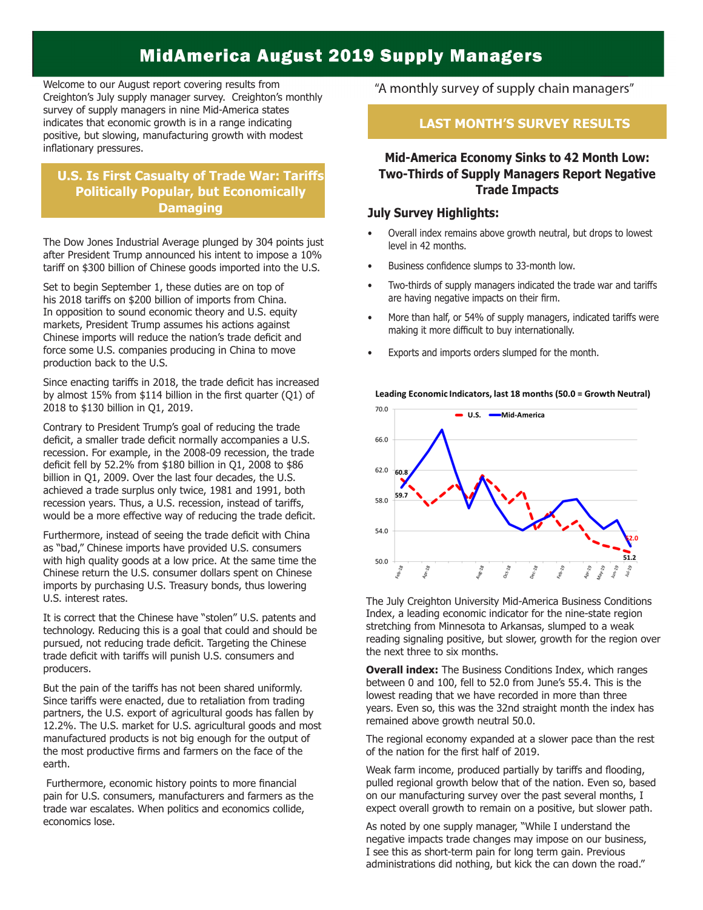## **MidAmerica August 2019 Supply Managers**

Welcome to our August report covering results from Creighton's July supply manager survey. Creighton's monthly survey of supply managers in nine Mid-America states indicates that economic growth is in a range indicating positive, but slowing, manufacturing growth with modest inflationary pressures.

## **Politically Popular, but Economically Politically Popular, but Economically Damaging U.S. Is First Casualty of Trade War: Tariffs**

The Dow Jones Industrial Average plunged by 304 points just after President Trump announced his intent to impose a 10% tariff on \$300 billion of Chinese goods imported into the U.S.

**Damaging**

Set to begin September 1, these duties are on top of his 2018 tariffs on \$200 billion of imports from China. In opposition to sound economic theory and U.S. equity markets, President Trump assumes his actions against Chinese imports will reduce the nation's trade deficit and force some U.S. companies producing in China to move production back to the U.S.

Since enacting tariffs in 2018, the trade deficit has increased by almost 15% from \$114 billion in the first quarter (Q1) of 2018 to \$130 billion in Q1, 2019.

Contrary to President Trump's goal of reducing the trade deficit, a smaller trade deficit normally accompanies a U.S. recession. For example, in the 2008-09 recession, the trade deficit fell by 52.2% from \$180 billion in Q1, 2008 to \$86 billion in Q1, 2009. Over the last four decades, the U.S. achieved a trade surplus only twice, 1981 and 1991, both recession years. Thus, a U.S. recession, instead of tariffs, would be a more effective way of reducing the trade deficit.

Furthermore, instead of seeing the trade deficit with China as "bad," Chinese imports have provided U.S. consumers with high quality goods at a low price. At the same time the Chinese return the U.S. consumer dollars spent on Chinese imports by purchasing U.S. Treasury bonds, thus lowering U.S. interest rates.

It is correct that the Chinese have "stolen" U.S. patents and technology. Reducing this is a goal that could and should be pursued, not reducing trade deficit. Targeting the Chinese trade deficit with tariffs will punish U.S. consumers and producers.

But the pain of the tariffs has not been shared uniformly. Since tariffs were enacted, due to retaliation from trading partners, the U.S. export of agricultural goods has fallen by 12.2%. The U.S. market for U.S. agricultural goods and most manufactured products is not big enough for the output of the most productive firms and farmers on the face of the earth.

 Furthermore, economic history points to more financial pain for U.S. consumers, manufacturers and farmers as the trade war escalates. When politics and economics collide, economics lose.

"A monthly survey of supply chain managers"

## **LAST MONTH'S SURVEY RESULTS**

**Mid-America Economy Sinks to 42 Month Low: Two-Thirds of Supply Managers Report Negative Trade Impacts** 

### **July Survey Highlights:**

- Overall index remains above growth neutral, but drops to lowest level in 42 months.
- Business confidence slumps to 33-month low.
- Two-thirds of supply managers indicated the trade war and tariffs are having negative impacts on their firm.
- More than half, or 54% of supply managers, indicated tariffs were making it more difficult to buy internationally.
- Exports and imports orders slumped for the month.



The July Creighton University Mid-America Business Conditions Index, a leading economic indicator for the nine-state region stretching from Minnesota to Arkansas, slumped to a weak reading signaling positive, but slower, growth for the region over the next three to six months.

**Overall index:** The Business Conditions Index, which ranges between 0 and 100, fell to 52.0 from June's 55.4. This is the lowest reading that we have recorded in more than three years. Even so, this was the 32nd straight month the index has remained above growth neutral 50.0.

The regional economy expanded at a slower pace than the rest of the nation for the first half of 2019.

Weak farm income, produced partially by tariffs and flooding, pulled regional growth below that of the nation. Even so, based on our manufacturing survey over the past several months, I expect overall growth to remain on a positive, but slower path.

As noted by one supply manager, "While I understand the negative impacts trade changes may impose on our business, I see this as short-term pain for long term gain. Previous administrations did nothing, but kick the can down the road."

#### Leading Economic Indicators, last 18 months (50.0 = Growth Neutral)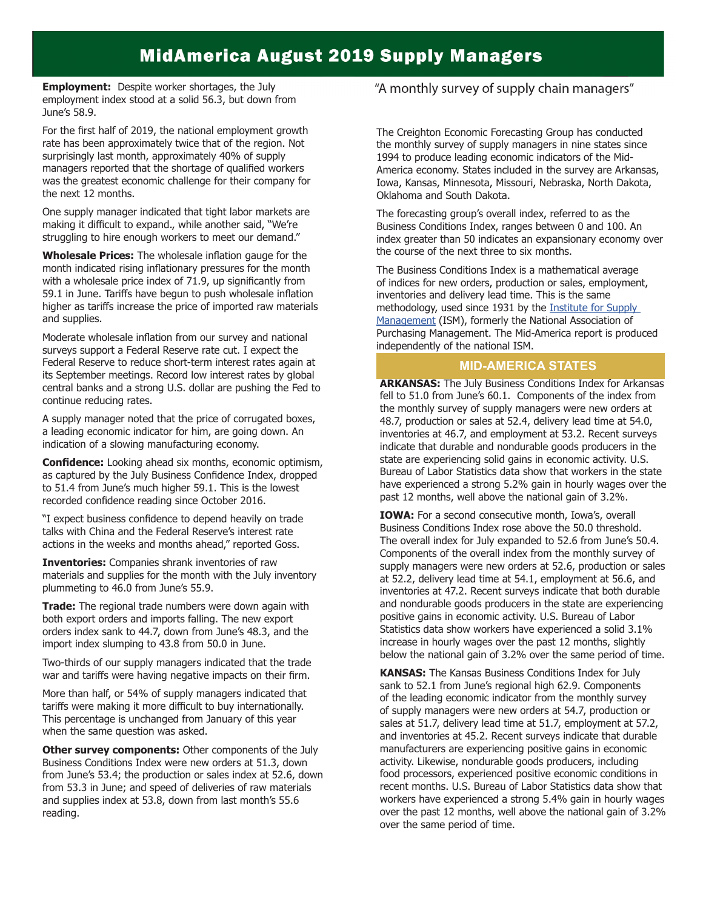## **MidAmerica August 2019 Supply Managers**

**Employment:** Despite worker shortages, the July employment index stood at a solid 56.3, but down from June's 58.9.

For the first half of 2019, the national employment growth rate has been approximately twice that of the region. Not surprisingly last month, approximately 40% of supply managers reported that the shortage of qualified workers was the greatest economic challenge for their company for the next 12 months.

One supply manager indicated that tight labor markets are making it difficult to expand., while another said, "We're struggling to hire enough workers to meet our demand."

**Wholesale Prices:** The wholesale inflation gauge for the month indicated rising inflationary pressures for the month with a wholesale price index of 71.9, up significantly from 59.1 in June. Tariffs have begun to push wholesale inflation higher as tariffs increase the price of imported raw materials and supplies.

Moderate wholesale inflation from our survey and national surveys support a Federal Reserve rate cut. I expect the Federal Reserve to reduce short-term interest rates again at its September meetings. Record low interest rates by global central banks and a strong U.S. dollar are pushing the Fed to continue reducing rates.

A supply manager noted that the price of corrugated boxes, a leading economic indicator for him, are going down. An indication of a slowing manufacturing economy.

**Confidence:** Looking ahead six months, economic optimism, as captured by the July Business Confidence Index, dropped to 51.4 from June's much higher 59.1. This is the lowest recorded confidence reading since October 2016.

"I expect business confidence to depend heavily on trade talks with China and the Federal Reserve's interest rate actions in the weeks and months ahead," reported Goss.

**Inventories:** Companies shrank inventories of raw materials and supplies for the month with the July inventory plummeting to 46.0 from June's 55.9.

**Trade:** The regional trade numbers were down again with both export orders and imports falling. The new export orders index sank to 44.7, down from June's 48.3, and the import index slumping to 43.8 from 50.0 in June.

Two-thirds of our supply managers indicated that the trade war and tariffs were having negative impacts on their firm.

More than half, or 54% of supply managers indicated that tariffs were making it more difficult to buy internationally. This percentage is unchanged from January of this year when the same question was asked.

**Other survey components:** Other components of the July Business Conditions Index were new orders at 51.3, down from June's 53.4; the production or sales index at 52.6, down from 53.3 in June; and speed of deliveries of raw materials and supplies index at 53.8, down from last month's 55.6 reading.

#### "A monthly survey of supply chain managers"

The Creighton Economic Forecasting Group has conducted the monthly survey of supply managers in nine states since 1994 to produce leading economic indicators of the Mid-America economy. States included in the survey are Arkansas, Iowa, Kansas, Minnesota, Missouri, Nebraska, North Dakota, Oklahoma and South Dakota.

The forecasting group's overall index, referred to as the Business Conditions Index, ranges between 0 and 100. An index greater than 50 indicates an expansionary economy over the course of the next three to six months.

The Business Conditions Index is a mathematical average of indices for new orders, production or sales, employment, inventories and delivery lead time. This is the same methodology, used since 1931 by the Institute for Supply Management (ISM), formerly the National Association of Purchasing Management. The Mid-America report is produced independently of the national ISM.

#### **MID-AMERICA STATES**

**ARKANSAS:** The July Business Conditions Index for Arkansas fell to 51.0 from June's 60.1. Components of the index from the monthly survey of supply managers were new orders at 48.7, production or sales at 52.4, delivery lead time at 54.0, inventories at 46.7, and employment at 53.2. Recent surveys indicate that durable and nondurable goods producers in the state are experiencing solid gains in economic activity. U.S. Bureau of Labor Statistics data show that workers in the state have experienced a strong 5.2% gain in hourly wages over the past 12 months, well above the national gain of 3.2%.

**IOWA:** For a second consecutive month, Iowa's, overall Business Conditions Index rose above the 50.0 threshold. The overall index for July expanded to 52.6 from June's 50.4. Components of the overall index from the monthly survey of supply managers were new orders at 52.6, production or sales at 52.2, delivery lead time at 54.1, employment at 56.6, and inventories at 47.2. Recent surveys indicate that both durable and nondurable goods producers in the state are experiencing positive gains in economic activity. U.S. Bureau of Labor Statistics data show workers have experienced a solid 3.1% increase in hourly wages over the past 12 months, slightly below the national gain of 3.2% over the same period of time.

**KANSAS:** The Kansas Business Conditions Index for July sank to 52.1 from June's regional high 62.9. Components of the leading economic indicator from the monthly survey of supply managers were new orders at 54.7, production or sales at 51.7, delivery lead time at 51.7, employment at 57.2, and inventories at 45.2. Recent surveys indicate that durable manufacturers are experiencing positive gains in economic activity. Likewise, nondurable goods producers, including food processors, experienced positive economic conditions in recent months. U.S. Bureau of Labor Statistics data show that workers have experienced a strong 5.4% gain in hourly wages over the past 12 months, well above the national gain of 3.2% over the same period of time.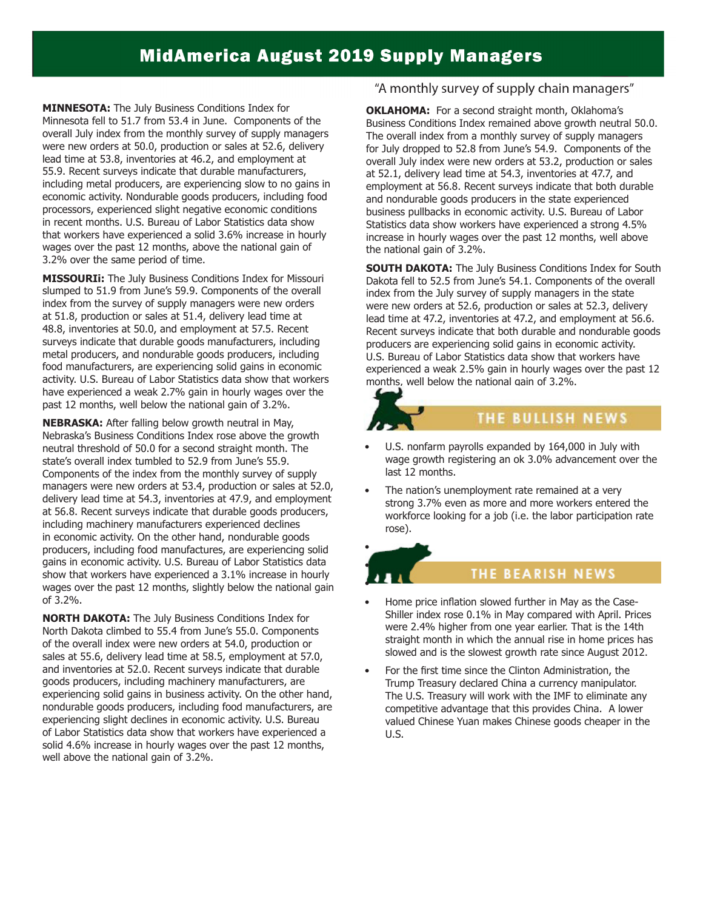# **MidAmerica August 2019 Supply Managers**

**MINNESOTA:** The July Business Conditions Index for Minnesota fell to 51.7 from 53.4 in June. Components of the overall July index from the monthly survey of supply managers were new orders at 50.0, production or sales at 52.6, delivery lead time at 53.8, inventories at 46.2, and employment at 55.9. Recent surveys indicate that durable manufacturers, including metal producers, are experiencing slow to no gains in economic activity. Nondurable goods producers, including food processors, experienced slight negative economic conditions in recent months. U.S. Bureau of Labor Statistics data show that workers have experienced a solid 3.6% increase in hourly wages over the past 12 months, above the national gain of 3.2% over the same period of time.

**MISSOURIi:** The July Business Conditions Index for Missouri slumped to 51.9 from June's 59.9. Components of the overall index from the survey of supply managers were new orders at 51.8, production or sales at 51.4, delivery lead time at 48.8, inventories at 50.0, and employment at 57.5. Recent surveys indicate that durable goods manufacturers, including metal producers, and nondurable goods producers, including food manufacturers, are experiencing solid gains in economic activity. U.S. Bureau of Labor Statistics data show that workers have experienced a weak 2.7% gain in hourly wages over the past 12 months, well below the national gain of 3.2%.

**NEBRASKA:** After falling below growth neutral in May, Nebraska's Business Conditions Index rose above the growth neutral threshold of 50.0 for a second straight month. The state's overall index tumbled to 52.9 from June's 55.9. Components of the index from the monthly survey of supply managers were new orders at 53.4, production or sales at 52.0, delivery lead time at 54.3, inventories at 47.9, and employment at 56.8. Recent surveys indicate that durable goods producers, including machinery manufacturers experienced declines in economic activity. On the other hand, nondurable goods producers, including food manufactures, are experiencing solid gains in economic activity. U.S. Bureau of Labor Statistics data show that workers have experienced a 3.1% increase in hourly wages over the past 12 months, slightly below the national gain of 3.2%.

**NORTH DAKOTA:** The July Business Conditions Index for North Dakota climbed to 55.4 from June's 55.0. Components of the overall index were new orders at 54.0, production or sales at 55.6, delivery lead time at 58.5, employment at 57.0, and inventories at 52.0. Recent surveys indicate that durable goods producers, including machinery manufacturers, are experiencing solid gains in business activity. On the other hand, nondurable goods producers, including food manufacturers, are experiencing slight declines in economic activity. U.S. Bureau of Labor Statistics data show that workers have experienced a solid 4.6% increase in hourly wages over the past 12 months, well above the national gain of 3.2%.

#### "A monthly survey of supply chain managers"

**OKLAHOMA:** For a second straight month, Oklahoma's Business Conditions Index remained above growth neutral 50.0. The overall index from a monthly survey of supply managers for July dropped to 52.8 from June's 54.9. Components of the overall July index were new orders at 53.2, production or sales at 52.1, delivery lead time at 54.3, inventories at 47.7, and employment at 56.8. Recent surveys indicate that both durable and nondurable goods producers in the state experienced business pullbacks in economic activity. U.S. Bureau of Labor Statistics data show workers have experienced a strong 4.5% increase in hourly wages over the past 12 months, well above the national gain of 3.2%.

**SOUTH DAKOTA:** The July Business Conditions Index for South Dakota fell to 52.5 from June's 54.1. Components of the overall index from the July survey of supply managers in the state were new orders at 52.6, production or sales at 52.3, delivery lead time at 47.2, inventories at 47.2, and employment at 56.6. Recent surveys indicate that both durable and nondurable goods producers are experiencing solid gains in economic activity. U.S. Bureau of Labor Statistics data show that workers have experienced a weak 2.5% gain in hourly wages over the past 12 months, well below the national gain of 3.2%.



## THE BULLISH NEWS

- U.S. nonfarm payrolls expanded by 164,000 in July with wage growth registering an ok 3.0% advancement over the last 12 months.
- The nation's unemployment rate remained at a very strong 3.7% even as more and more workers entered the workforce looking for a job (i.e. the labor participation rate rose).

## • •

•

#### THE BEARISH NEWS

- Home price inflation slowed further in May as the Case-Shiller index rose 0.1% in May compared with April. Prices were 2.4% higher from one year earlier. That is the 14th straight month in which the annual rise in home prices has slowed and is the slowest growth rate since August 2012.
- For the first time since the Clinton Administration, the Trump Treasury declared China a currency manipulator. The U.S. Treasury will work with the IMF to eliminate any competitive advantage that this provides China. A lower valued Chinese Yuan makes Chinese goods cheaper in the U.S.